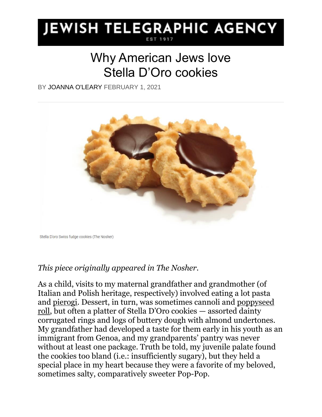## **JEWISH TELEGRAPHIC AGENCY**

## Why American Jews love Stella D'Oro cookies

BY [JOANNA O'LEARY](https://www.jta.org/author/joanna-oleary) FEBRUARY 1, 2021



Stella D'oro Swiss fudge cookies (The Nosher)

## *This piece originally appeared in The Nosher.*

As a child, visits to my maternal grandfather and grandmother (of Italian and Polish heritage, respectively) involved eating a lot pasta and [pierogi.](https://www.myjewishlearning.com/the-nosher/pastrami-filled-pierogis-recipe/) Dessert, in turn, was sometimes cannoli and [poppyseed](https://www.myjewishlearning.com/the-nosher/the-poppy-seed-roll-is-old-fashioned-jewish-perfection/)  [roll](https://www.myjewishlearning.com/the-nosher/the-poppy-seed-roll-is-old-fashioned-jewish-perfection/), but often a platter of Stella D'Oro cookies — assorted dainty corrugated rings and logs of buttery dough with almond undertones. My grandfather had developed a taste for them early in his youth as an immigrant from Genoa, and my grandparents' pantry was never without at least one package. Truth be told, my juvenile palate found the cookies too bland (i.e.: insufficiently sugary), but they held a special place in my heart because they were a favorite of my beloved, sometimes salty, comparatively sweeter Pop-Pop.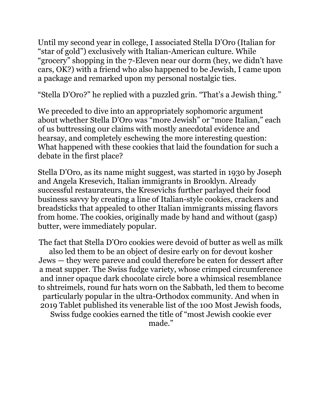Until my second year in college, I associated Stella D'Oro (Italian for "star of gold") exclusively with Italian-American culture. While "grocery" shopping in the 7-Eleven near our dorm (hey, we didn't have cars, OK?) with a friend who also happened to be Jewish, I came upon a package and remarked upon my personal nostalgic ties.

"Stella D'Oro?" he replied with a puzzled grin. "That's a Jewish thing."

We preceded to dive into an appropriately sophomoric argument about whether Stella D'Oro was "more Jewish" or "more Italian," each of us buttressing our claims with mostly anecdotal evidence and hearsay, and completely eschewing the more interesting question: What happened with these cookies that laid the foundation for such a debate in the first place?

Stella D'Oro, as its name might suggest, was started in 1930 by Joseph and Angela Kresevich, Italian immigrants in Brooklyn. Already successful restaurateurs, the Kresevichs further parlayed their food business savvy by creating a line of Italian-style cookies, crackers and breadsticks that appealed to other Italian immigrants missing flavors from home. The cookies, originally made by hand and without (gasp) butter, were immediately popular.

The fact that Stella D'Oro cookies were devoid of butter as well as milk also led them to be [an object of desire early on for devout kosher](https://www.nytimes.com/2003/01/12/nyregion/of-milk-and-cookies-or-how-orthodox-jews-saved-an-italian-recipe.html)  [Jews](https://www.nytimes.com/2003/01/12/nyregion/of-milk-and-cookies-or-how-orthodox-jews-saved-an-italian-recipe.html) — they were pareve and could therefore be eaten for dessert after a meat supper. The Swiss fudge variety, whose crimped circumference and inner opaque dark chocolate circle bore a whimsical resemblance to [shtreimels](https://www.myjewishlearning.com/?definitions=shtreimel)*,* round fur hats worn on the Sabbath, led them to become particularly popular in the ultra-Orthodox community. And when in 2019 Tablet published its venerable list of the 100 Most Jewish foods, Swiss fudge cookies earned the title of "most Jewish cookie ever made<sup>"</sup>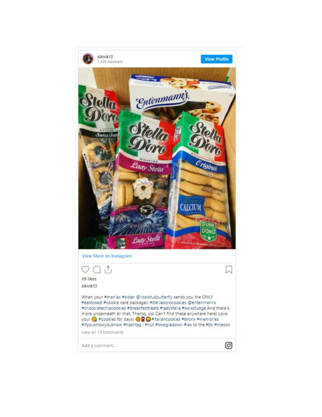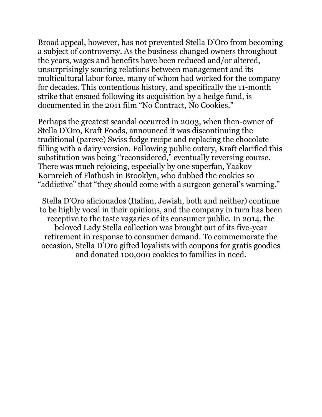Broad appeal, however, has not prevented Stella D'Oro from becoming a subject of controversy. As the business changed owners throughout the years, wages and benefits have been reduced and/or altered, unsurprisingly souring relations between management and its multicultural labor force, many of whom had worked for the company for decades. This contentious history, and specifically the 11-month strike that ensued following its acquisition by a hedge fund, is documented in the 2011 film "No Contract, No Cookies."

Perhaps the greatest scandal occurred in 2003, when then-owner of Stella D'Oro, Kraft Foods, announced it was discontinuing the traditional (pareve) Swiss fudge recipe and replacing the chocolate filling with a dairy version. Following public outcry, Kraft clarified this substitution was being "reconsidered," eventually reversing course. There was much rejoicing, especially by one superfan, Yaakov Kornreich of Flatbush in Brooklyn, [who dubbed the cookies so](https://www.nytimes.com/2003/01/12/nyregion/of-milk-and-cookies-or-how-orthodox-jews-saved-an-italian-recipe.html)  ["addictive" that "they should come with a surgeon general's warning."](https://www.nytimes.com/2003/01/12/nyregion/of-milk-and-cookies-or-how-orthodox-jews-saved-an-italian-recipe.html)

Stella D'Oro aficionados (Italian, Jewish, both and neither) continue to be highly vocal in their opinions, and the company in turn has been receptive to the taste vagaries of its consumer public. In 2014, the beloved [Lady Stella collection](https://amzn.to/3989e70) was brought out of its five-year retirement in response to consumer demand. To commemorate the occasion, Stella D'Oro gifted loyalists with coupons for gratis goodies and donated 100,000 cookies to families in need.